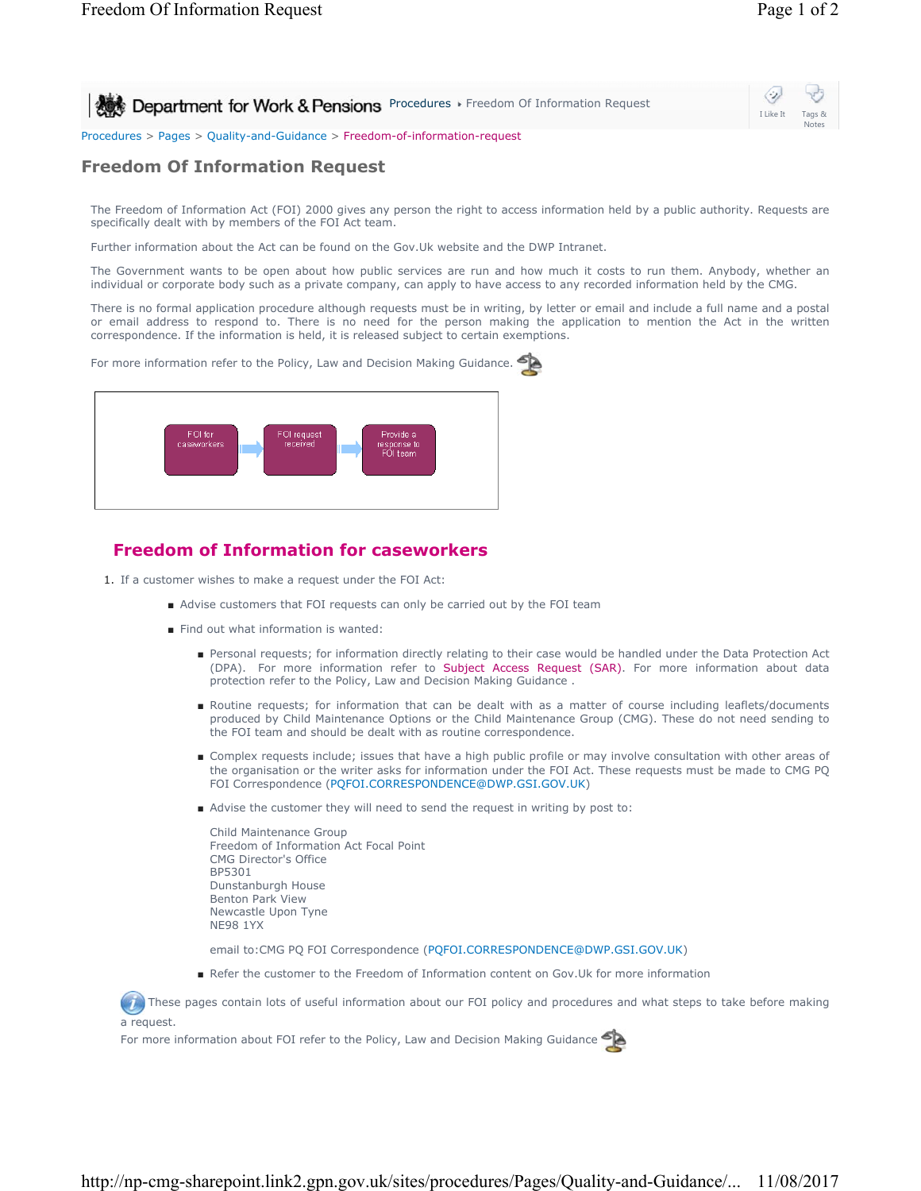Notes

⊘ **Procedures Freedom Of Information Request** I Like It

Procedures > Pages > Quality-and-Guidance > Freedom-of-information-request

## **Freedom Of Information Request**

The Freedom of Information Act (FOI) 2000 gives any person the right to access information held by a public authority. Requests are specifically dealt with by members of the FOI Act team.

Further information about the Act can be found on the Gov.Uk website and the DWP Intranet.

The Government wants to be open about how public services are run and how much it costs to run them. Anybody, whether an individual or corporate body such as a private company, can apply to have access to any recorded information held by the CMG.

There is no formal application procedure although requests must be in writing, by letter or email and include a full name and a postal or email address to respond to. There is no need for the person making the application to mention the Act in the written correspondence. If the information is held, it is released subject to certain exemptions.

For more information refer to the Policy, Law and Decision Making Guidance.



## **Freedom of Information for caseworkers**

- 1. If a customer wishes to make a request under the FOI Act:
	- Advise customers that FOI requests can only be carried out by the FOI team
	- Find out what information is wanted:
		- Personal requests; for information directly relating to their case would be handled under the Data Protection Act (DPA). For more information refer to Subject Access Request (SAR). For more information about data protection refer to the Policy, Law and Decision Making Guidance .
		- Routine requests; for information that can be dealt with as a matter of course including leaflets/documents produced by Child Maintenance Options or the Child Maintenance Group (CMG). These do not need sending to the FOI team and should be dealt with as routine correspondence.
		- Complex requests include; issues that have a high public profile or may involve consultation with other areas of the organisation or the writer asks for information under the FOI Act. These requests must be made to CMG PQ FOI Correspondence (PQFOI.CORRESPONDENCE@DWP.GSI.GOV.UK)
		- Advise the customer they will need to send the request in writing by post to:

| Child Maintenance Group                |
|----------------------------------------|
| Freedom of Information Act Focal Point |
| <b>CMG Director's Office</b>           |
| BP5301                                 |
| Dunstanburgh House                     |
| <b>Benton Park View</b>                |
| Newcastle Upon Tyne                    |
| <b>NE98 1YX</b>                        |
|                                        |

email to:CMG PQ FOI Correspondence (PQFOI.CORRESPONDENCE@DWP.GSI.GOV.UK)

■ Refer the customer to the Freedom of Information content on Gov.Uk for more information

These pages contain lots of useful information about our FOI policy and procedures and what steps to take before making a request.

For more information about FOI refer to the Policy, Law and Decision Making Guidance